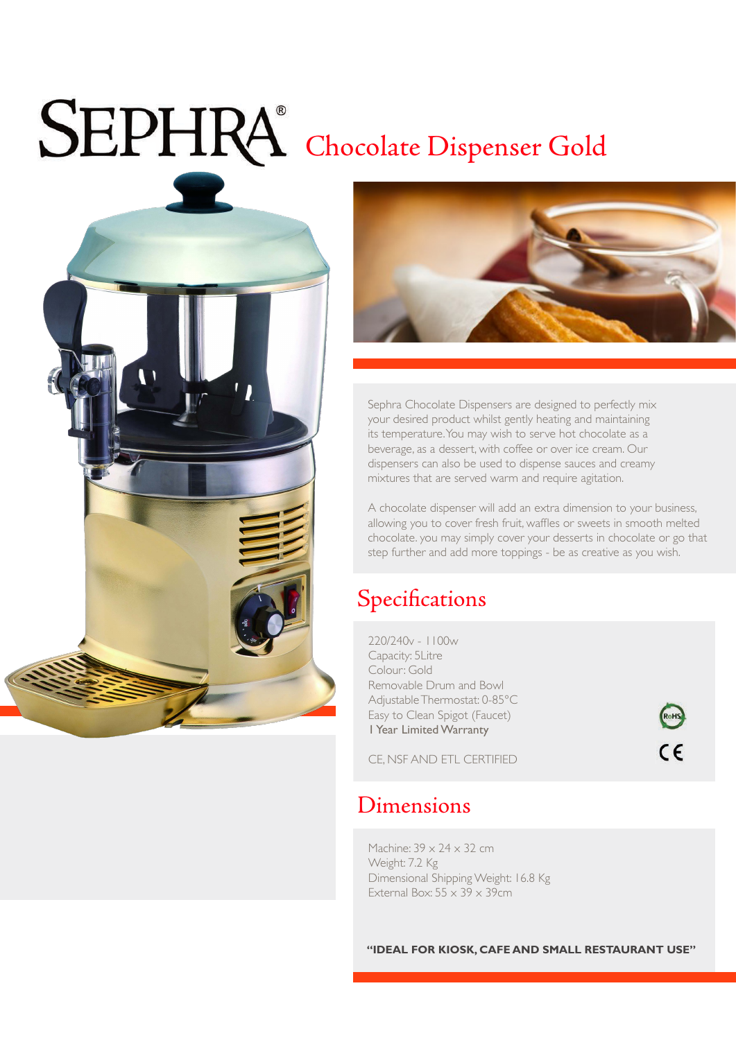# SEPHRA<sup>®</sup> Chocolate Dispenser Gold





Sephra Chocolate Dispensers are designed to perfectly mix your desired product whilst gently heating and maintaining its temperature. You may wish to serve hot chocolate as a beverage, as a dessert, with coffee or over ice cream. Our dispensers can also be used to dispense sauces and creamy mixtures that are served warm and require agitation.

A chocolate dispenser will add an extra dimension to your business, allowing you to cover fresh fruit, waffles or sweets in smooth melted chocolate. you may simply cover your desserts in chocolate or go that step further and add more toppings - be as creative as you wish.

RoHS

 $\epsilon$ 

### Specifications

220/240v - 1100w Capacity: 5Litre Colour: Gold Removable Drum and Bowl Adjustable Thermostat: 0-85°C Easy to Clean Spigot (Faucet) 1 Year Limited Warranty

CE, NSF AND ETL CERTIFIED

#### Dimensions

Machine:  $39 \times 24 \times 32$  cm Weight: 7.2 Kg Dimensional Shipping Weight: 16.8 Kg External Box:  $55 \times 39 \times 39$ cm

**"IDEAL FOR KIOSK, CAFE AND SMALL RESTAURANT USE"**